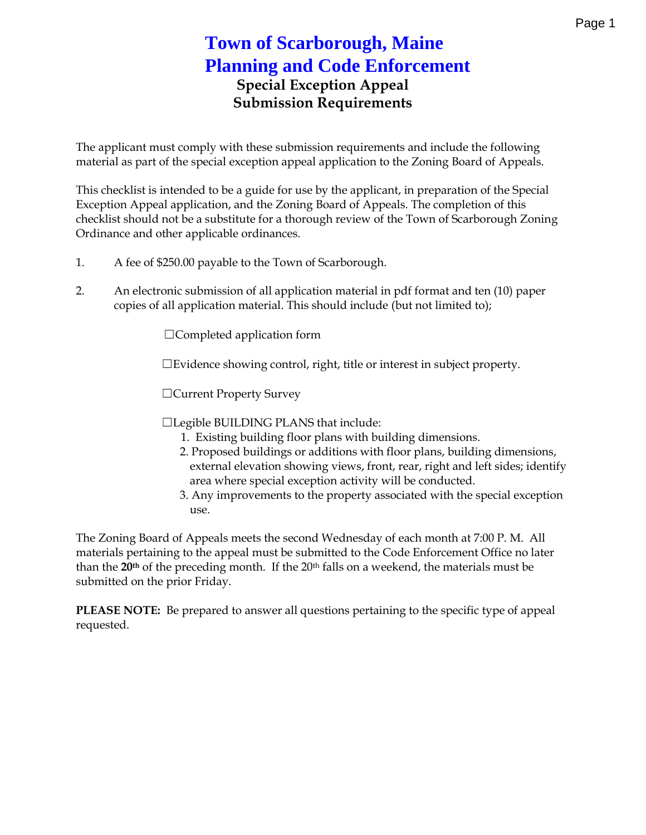## Special Exception Appeal Submission Requirements

The applicant must comply with these submission requirements and i material as part of the special exception appeal application to the Z

This checkihis this intended to be a guide for use by the applicant, in preparation Exception Appeal application, and the Zoning Board of Appeals. The checklist should not be a substitute for a thorough review gof the Tow Ordinance and other applicable ordinances.

- 1. A fee of \$250.00 payable to the Town of Scarborough.
- 2. An electronic submission of all application material in pdf format copies of all application material. (bTuhtis dsimmoited to it no lude
	- &Completed application form
	- & Evidenscheowincgntrollght, title or interest in subject propert
	- &Current Property Survey
	- &Legible BUILDING PLANS that include:
		- 1. Existing building floor plans with building dimension 2. Proposed buildings or additions with floor plans, buil extermeal evation showing untimity or ear, right and left sides; identify area where cial exception activity will be conducted. 3 Any improvements to the property associated with the use.

The Zoning Board of Appeals meets the second Wednesday of each m materials pertaining to the appeal must be submitted to the Code En than the preceding monthallstion mea 2nove ekneante, ritalles must be submitted on the prior Friday.

PLEASE NOBTE: prepared to answer all questions pertaining to the spe requested.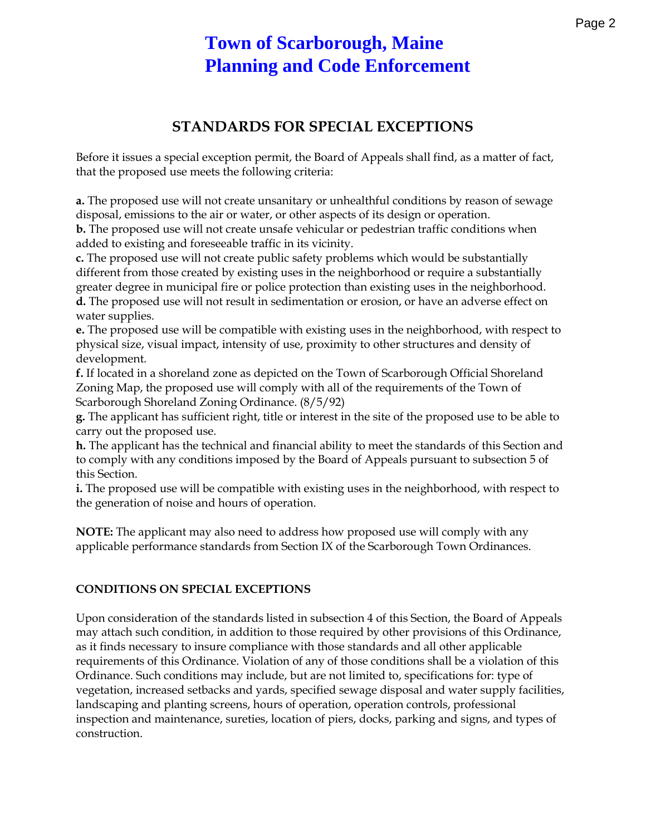# **Town of Scarborough, Maine Planning and Code Enforcement**

## **STANDARDS FOR SPECIAL EXCEPTIONS**

Before it issues a special exception permit, the Board of Appeals shall find, as a matter of fact, that the proposed use meets the following criteria:

**a.** The proposed use will not create unsanitary or unhealthful conditions by reason of sewage disposal, emissions to the air or water, or other aspects of its design or operation.

**b.** The proposed use will not create unsafe vehicular or pedestrian traffic conditions when added to existing and foreseeable traffic in its vicinity.

**c.** The proposed use will not create public safety problems which would be substantially different from those created by existing uses in the neighborhood or require a substantially greater degree in municipal fire or police protection than existing uses in the neighborhood. **d.** The proposed use will not result in sedimentation or erosion, or have an adverse effect on water supplies.

**e.** The proposed use will be compatible with existing uses in the neighborhood, with respect to physical size, visual impact, intensity of use, proximity to other structures and density of development.

**f.** If located in a shoreland zone as depicted on the Town of Scarborough Official Shoreland Zoning Map, the proposed use will comply with all of the requirements of the Town of Scarborough Shoreland Zoning Ordinance. (8/5/92)

**g.** The applicant has sufficient right, title or interest in the site of the proposed use to be able to carry out the proposed use.

**h.** The applicant has the technical and financial ability to meet the standards of this Section and to comply with any conditions imposed by the Board of Appeals pursuant to subsection 5 of this Section.

**i.** The proposed use will be compatible with existing uses in the neighborhood, with respect to the generation of noise and hours of operation.

**NOTE:** The applicant may also need to address how proposed use will comply with any applicable performance standards from Section IX of the Scarborough Town Ordinances.

#### **CONDITIONS ON SPECIAL EXCEPTIONS**

Upon consideration of the standards listed in subsection 4 of this Section, the Board of Appeals may attach such condition, in addition to those required by other provisions of this Ordinance, as it finds necessary to insure compliance with those standards and all other applicable requirements of this Ordinance. Violation of any of those conditions shall be a violation of this Ordinance. Such conditions may include, but are not limited to, specifications for: type of vegetation, increased setbacks and yards, specified sewage disposal and water supply facilities, landscaping and planting screens, hours of operation, operation controls, professional inspection and maintenance, sureties, location of piers, docks, parking and signs, and types of construction.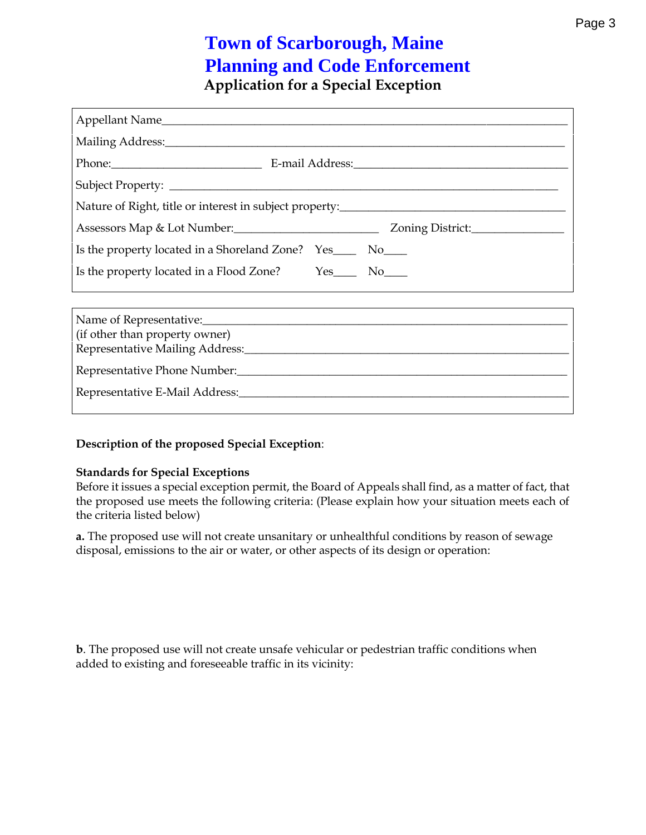### Application for a Special Exception

| Appellant Name                                                                    |                        |
|-----------------------------------------------------------------------------------|------------------------|
|                                                                                   |                        |
|                                                                                   |                        |
|                                                                                   |                        |
| Nature of Right, title or interest in subject property:__________________________ |                        |
| Assessors Map & Lot Number: ____________________________                          | Zoning                 |
| $Yes_{---}$ $No_{---}$<br>Is the property located in a Shoreland Zone?            |                        |
| Is the property located in a Flood Zone?                                          | $Yes_{---}$ $No_{---}$ |
|                                                                                   |                        |

| Name of Representative:________________________________<br>(if other than property owner) |  |
|-------------------------------------------------------------------------------------------|--|
| Representative Mailing Address:                                                           |  |
| Representative Phone Number: _____________________                                        |  |
|                                                                                           |  |
|                                                                                           |  |

Description of tobsee op rospecial Exception

Standards for Special Exceptions Before it issues a special exceptrof permetalstishe a Bo find, as a matter of the proposed use meets the following criteria: (Please explain how the criteria listed below)

a.The proposed use will not create unsanitary or unhealthful conditio disposal, emissions to the air or water, or other aspects of its desig

b. The proposed use will not create unsafe vechocondliations prehobenstrian tra added to existing and foreseeable traffic in its vicinity: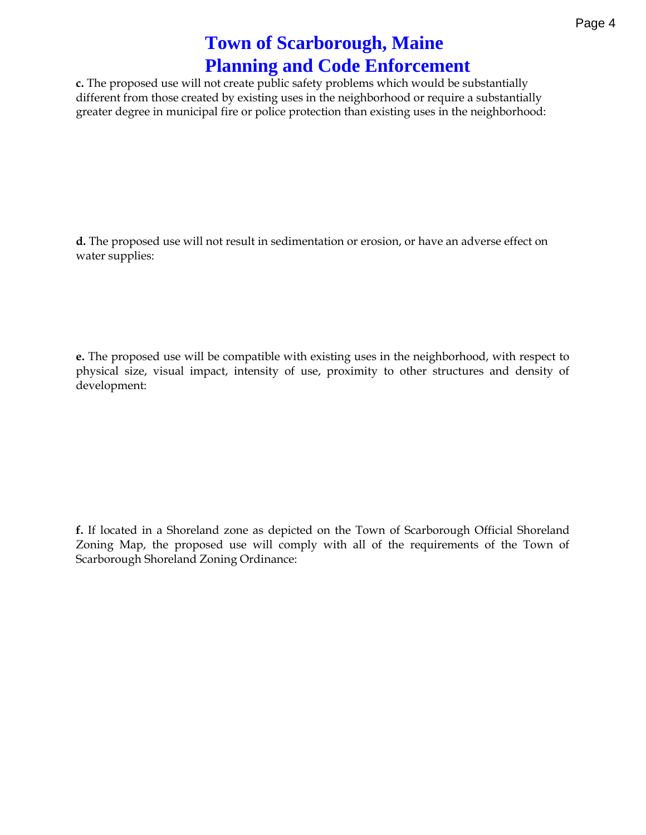c.The proposed use will not create public safety problems which woul different from those created by existing uses in slues stanghish of or greater degree in municipal fire or police protection than existing us

d.The proposed use will not result in sedimentation or erosion, or ha water supplies:

e.The proposewdilusbee compatible with existing uses in the neighborho physical size, visual impact, intensity of use, proximity to other development:

f.If located in a Shoreland zone as depicted on ftfhieiallo who onlanged rborough on  $\mathbf s$ Zoning Map, the proposed use will comply with all of the require Scarborough Shoreland Zoning Ordinance: